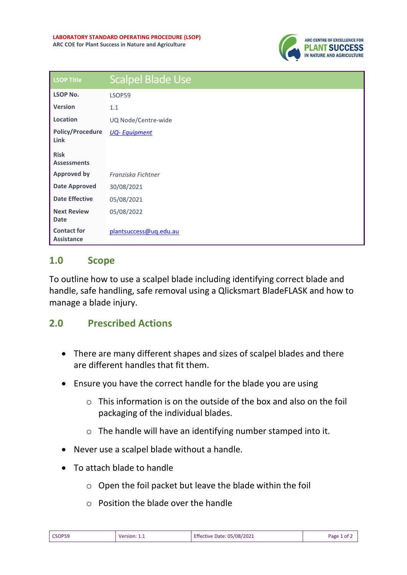

| <b>LSOP Title</b>                       | <b>Scalpel Blade Use</b> |
|-----------------------------------------|--------------------------|
| <b>LSOP No.</b>                         | LSOP59                   |
| <b>Version</b>                          | 1.1                      |
| Location                                | UQ Node/Centre-wide      |
| <b>Policy/Procedure</b><br>Link         | <b>UQ-Equipment</b>      |
| <b>Risk</b><br><b>Assessments</b>       |                          |
| <b>Approved by</b>                      | Franziska Fichtner       |
| <b>Date Approved</b>                    | 30/08/2021               |
| <b>Date Effective</b>                   | 05/08/2021               |
| <b>Next Review</b><br><b>Date</b>       | 05/08/2022               |
| <b>Contact for</b><br><b>Assistance</b> | plantsuccess@uq.edu.au   |

## **1.0 Scope**

To outline how to use a scalpel blade including identifying correct blade and handle, safe handling, safe removal using a Qlicksmart BladeFLASK and how to manage a blade injury.

## **2.0 Prescribed Actions**

- There are many different shapes and sizes of scalpel blades and there are different handles that fit them.
- Ensure you have the correct handle for the blade you are using
	- $\circ$  This information is on the outside of the box and also on the foil packaging of the individual blades.
	- o The handle will have an identifying number stamped into it.
- Never use a scalpel blade without a handle.
- To attach blade to handle
	- o Open the foil packet but leave the blade within the foil
	- o Position the blade over the handle

| CSOP59 | Version: 1.1 | <b>Effective Date: 05/08/2021</b> | Page 1 of 2 |
|--------|--------------|-----------------------------------|-------------|
|--------|--------------|-----------------------------------|-------------|